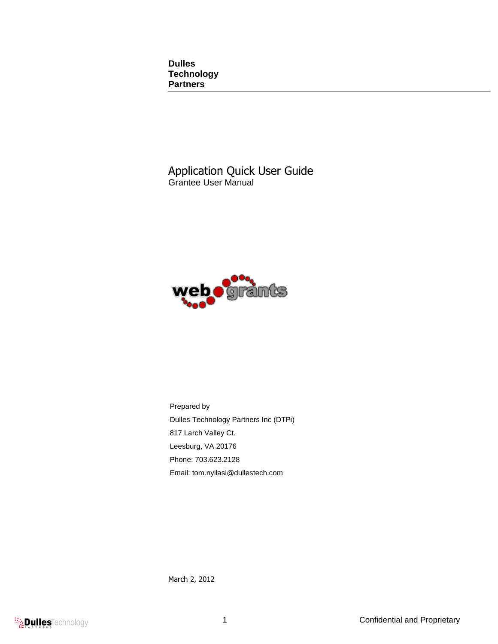**Dulles Technology Partners**

Application Quick User Guide Grantee User Manual



Prepared by Dulles Technology Partners Inc (DTPi) 817 Larch Valley Ct. Leesburg, VA 20176 Phone: 703.623.2128 Email: tom.nyilasi@dullestech.com

March 2, 2012

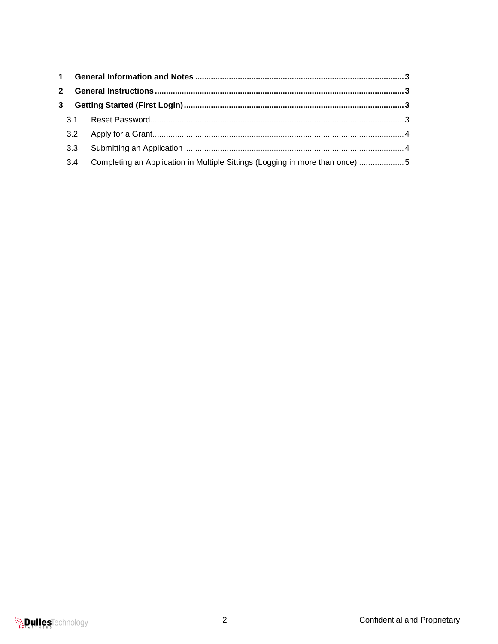| Completing an Application in Multiple Sittings (Logging in more than once) 5 |  |
|------------------------------------------------------------------------------|--|
| 3.1<br>3.3 <sub>2</sub><br>3.4                                               |  |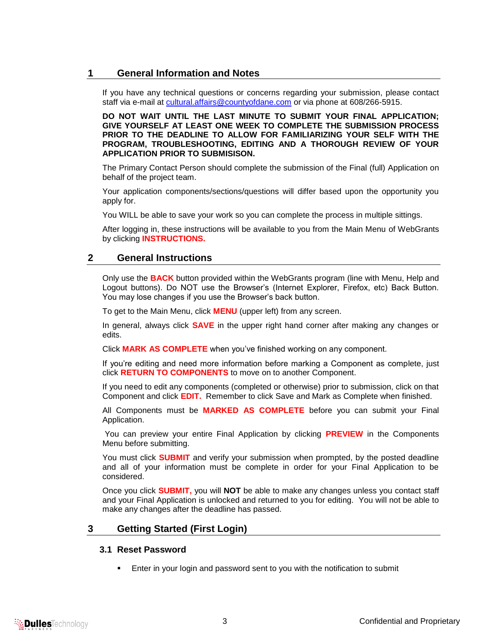# <span id="page-2-0"></span>**1 General Information and Notes**

If you have any technical questions or concerns regarding your submission, please contact staff via e-mail at [cultural.affairs@countyofdane.com](mailto:cultural.affairs@countyofdane.com) or via phone at 608/266-5915.

**DO NOT WAIT UNTIL THE LAST MINUTE TO SUBMIT YOUR FINAL APPLICATION; GIVE YOURSELF AT LEAST ONE WEEK TO COMPLETE THE SUBMISSION PROCESS PRIOR TO THE DEADLINE TO ALLOW FOR FAMILIARIZING YOUR SELF WITH THE PROGRAM, TROUBLESHOOTING, EDITING AND A THOROUGH REVIEW OF YOUR APPLICATION PRIOR TO SUBMISISON.**

The Primary Contact Person should complete the submission of the Final (full) Application on behalf of the project team.

Your application components/sections/questions will differ based upon the opportunity you apply for.

You WILL be able to save your work so you can complete the process in multiple sittings.

After logging in, these instructions will be available to you from the Main Menu of WebGrants by clicking **INSTRUCTIONS.**

#### <span id="page-2-1"></span>**2 General Instructions**

Only use the **BACK** button provided within the WebGrants program (line with Menu, Help and Logout buttons). Do NOT use the Browser's (Internet Explorer, Firefox, etc) Back Button. You may lose changes if you use the Browser's back button.

To get to the Main Menu, click **MENU** (upper left) from any screen.

In general, always click **SAVE** in the upper right hand corner after making any changes or edits.

Click **MARK AS COMPLETE** when you've finished working on any component.

If you're editing and need more information before marking a Component as complete, just click **RETURN TO COMPONENTS** to move on to another Component.

If you need to edit any components (completed or otherwise) prior to submission, click on that Component and click **EDIT.** Remember to click Save and Mark as Complete when finished.

All Components must be **MARKED AS COMPLETE** before you can submit your Final Application.

You can preview your entire Final Application by clicking **PREVIEW** in the Components Menu before submitting.

You must click **SUBMIT** and verify your submission when prompted, by the posted deadline and all of your information must be complete in order for your Final Application to be considered.

Once you click **SUBMIT,** you will **NOT** be able to make any changes unless you contact staff and your Final Application is unlocked and returned to you for editing. You will not be able to make any changes after the deadline has passed.

# <span id="page-2-3"></span><span id="page-2-2"></span>**3 Getting Started (First Login)**

#### **3.1 Reset Password**

Enter in your login and password sent to you with the notification to submit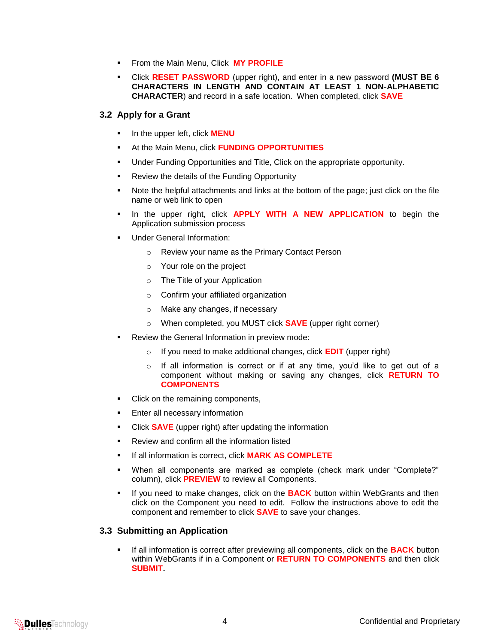- **FIGM** From the Main Menu, Click **MY PROFILE**
- Click **RESET PASSWORD** (upper right), and enter in a new password **(MUST BE 6 CHARACTERS IN LENGTH AND CONTAIN AT LEAST 1 NON-ALPHABETIC CHARACTER**) and record in a safe location. When completed, click **SAVE**

#### <span id="page-3-0"></span>**3.2 Apply for a Grant**

- In the upper left, click **MENU**
- At the Main Menu, click **FUNDING OPPORTUNITIES**
- Under Funding Opportunities and Title, Click on the appropriate opportunity.
- **Review the details of the Funding Opportunity**
- Note the helpful attachments and links at the bottom of the page; just click on the file name or web link to open
- **In the upper right, click APPLY WITH A NEW APPLICATION** to begin the Application submission process
- Under General Information:
	- o Review your name as the Primary Contact Person
	- o Your role on the project
	- o The Title of your Application
	- o Confirm your affiliated organization
	- o Make any changes, if necessary
	- o When completed, you MUST click **SAVE** (upper right corner)
- Review the General Information in preview mode:
	- o If you need to make additional changes, click **EDIT** (upper right)
	- o If all information is correct or if at any time, you'd like to get out of a component without making or saving any changes, click **RETURN TO COMPONENTS**
- Click on the remaining components,
- **Enter all necessary information**
- Click **SAVE** (upper right) after updating the information
- Review and confirm all the information listed
- If all information is correct, click **MARK AS COMPLETE**
- When all components are marked as complete (check mark under "Complete?" column), click **PREVIEW** to review all Components.
- If you need to make changes, click on the **BACK** button within WebGrants and then click on the Component you need to edit. Follow the instructions above to edit the component and remember to click **SAVE** to save your changes.

#### <span id="page-3-1"></span>**3.3 Submitting an Application**

 If all information is correct after previewing all components, click on the **BACK** button within WebGrants if in a Component or **RETURN TO COMPONENTS** and then click **SUBMIT.**